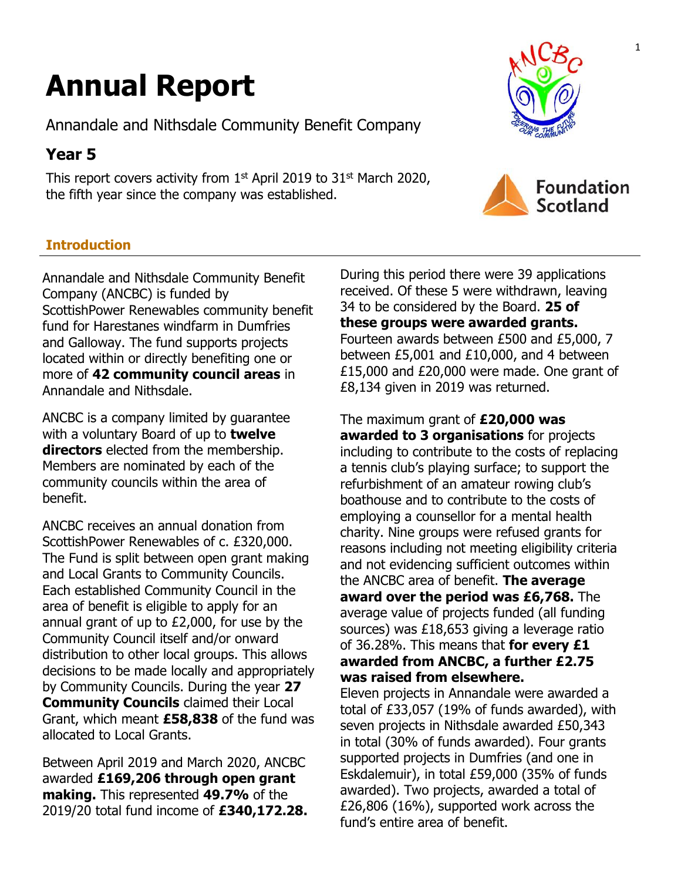# **Annual Report**

Annandale and Nithsdale Community Benefit Company

# **Year 5**

This report covers activity from  $1<sup>st</sup>$  April 2019 to 31 $<sup>st</sup>$  March 2020,</sup> the fifth year since the company was established.

# **Introduction**

Annandale and Nithsdale Community Benefit Company (ANCBC) is funded by ScottishPower Renewables community benefit fund for Harestanes windfarm in Dumfries and Galloway. The fund supports projects located within or directly benefiting one or more of **42 community council areas** in Annandale and Nithsdale.

ANCBC is a company limited by guarantee with a voluntary Board of up to **twelve directors** elected from the membership. Members are nominated by each of the community councils within the area of benefit.

ANCBC receives an annual donation from ScottishPower Renewables of c. £320,000. The Fund is split between open grant making and Local Grants to Community Councils. Each established Community Council in the area of benefit is eligible to apply for an annual grant of up to £2,000, for use by the Community Council itself and/or onward distribution to other local groups. This allows decisions to be made locally and appropriately by Community Councils. During the year **27 Community Councils** claimed their Local Grant, which meant **£58,838** of the fund was allocated to Local Grants.

Between April 2019 and March 2020, ANCBC awarded **£169,206 through open grant making.** This represented **49.7%** of the 2019/20 total fund income of **£340,172.28.** During this period there were 39 applications received. Of these 5 were withdrawn, leaving 34 to be considered by the Board. **25 of these groups were awarded grants.** Fourteen awards between £500 and £5,000, 7 between £5,001 and £10,000, and 4 between £15,000 and £20,000 were made. One grant of £8,134 given in 2019 was returned.

The maximum grant of **£20,000 was awarded to 3 organisations** for projects including to contribute to the costs of replacing a tennis club's playing surface; to support the refurbishment of an amateur rowing club's boathouse and to contribute to the costs of employing a counsellor for a mental health charity. Nine groups were refused grants for reasons including not meeting eligibility criteria and not evidencing sufficient outcomes within the ANCBC area of benefit. **The average award over the period was £6,768.** The average value of projects funded (all funding sources) was £18,653 giving a leverage ratio of 36.28%. This means that **for every £1 awarded from ANCBC, a further £2.75 was raised from elsewhere.** 

Eleven projects in Annandale were awarded a total of £33,057 (19% of funds awarded), with seven projects in Nithsdale awarded £50,343 in total (30% of funds awarded). Four grants supported projects in Dumfries (and one in Eskdalemuir), in total £59,000 (35% of funds awarded). Two projects, awarded a total of £26,806 (16%), supported work across the fund's entire area of benefit.



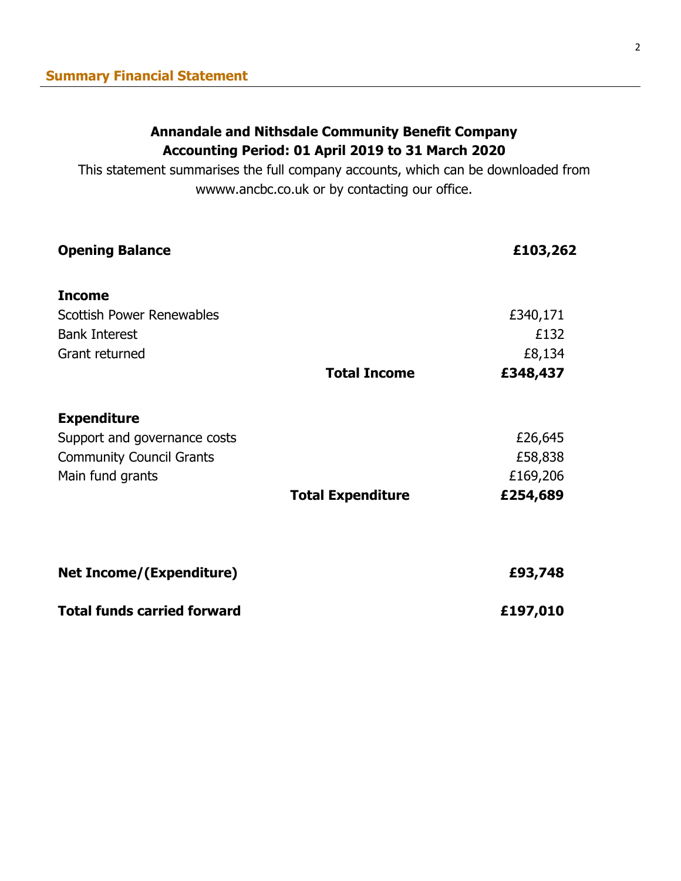# **Annandale and Nithsdale Community Benefit Company Accounting Period: 01 April 2019 to 31 March 2020**

This statement summarises the full company accounts, which can be downloaded from wwww.ancbc.co.uk or by contacting our office.

| <b>Opening Balance</b>             |                          | £103,262 |
|------------------------------------|--------------------------|----------|
| <b>Income</b>                      |                          |          |
| <b>Scottish Power Renewables</b>   |                          | £340,171 |
| <b>Bank Interest</b>               |                          | £132     |
| Grant returned                     |                          | £8,134   |
|                                    | <b>Total Income</b>      | £348,437 |
| <b>Expenditure</b>                 |                          |          |
| Support and governance costs       |                          | £26,645  |
| <b>Community Council Grants</b>    |                          | £58,838  |
| Main fund grants                   |                          | £169,206 |
|                                    | <b>Total Expenditure</b> | £254,689 |
| <b>Net Income/(Expenditure)</b>    |                          | £93,748  |
| <b>Total funds carried forward</b> |                          | £197,010 |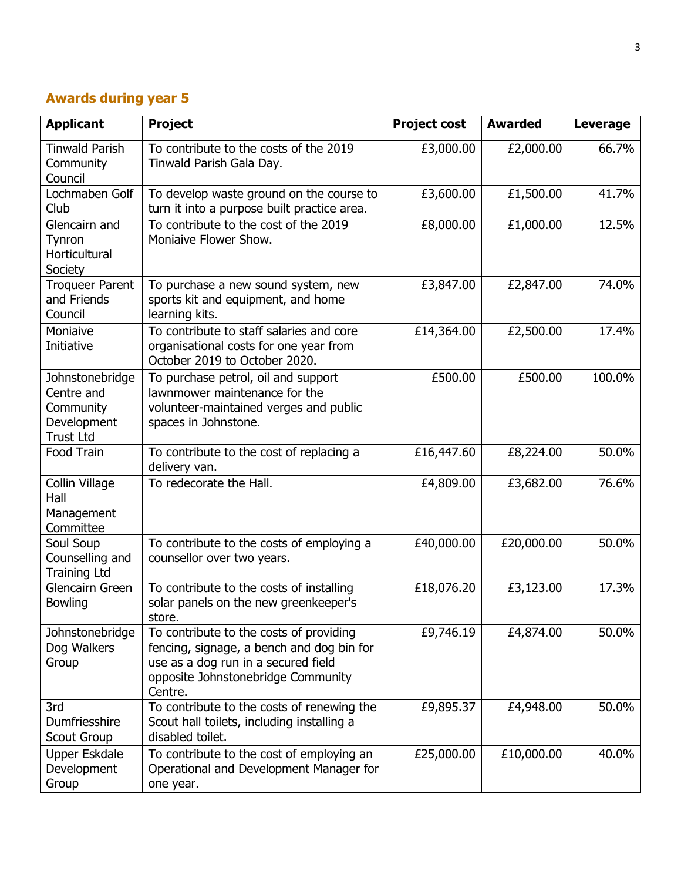# **Awards during year 5**

| <b>Applicant</b>                                                              | <b>Project</b>                                                                                                                                                               | <b>Project cost</b> | <b>Awarded</b> | Leverage |
|-------------------------------------------------------------------------------|------------------------------------------------------------------------------------------------------------------------------------------------------------------------------|---------------------|----------------|----------|
| <b>Tinwald Parish</b><br>Community<br>Council                                 | To contribute to the costs of the 2019<br>Tinwald Parish Gala Day.                                                                                                           | £3,000.00           | £2,000.00      | 66.7%    |
| Lochmaben Golf<br>Club                                                        | To develop waste ground on the course to<br>turn it into a purpose built practice area.                                                                                      | £3,600.00           | £1,500.00      | 41.7%    |
| Glencairn and<br>Tynron<br>Horticultural<br>Society                           | To contribute to the cost of the 2019<br>Moniaive Flower Show.                                                                                                               | £8,000.00           | £1,000.00      | 12.5%    |
| <b>Troqueer Parent</b><br>and Friends<br>Council                              | To purchase a new sound system, new<br>sports kit and equipment, and home<br>learning kits.                                                                                  | £3,847.00           | £2,847.00      | 74.0%    |
| Moniaive<br>Initiative                                                        | To contribute to staff salaries and core<br>organisational costs for one year from<br>October 2019 to October 2020.                                                          | £14,364.00          | £2,500.00      | 17.4%    |
| Johnstonebridge<br>Centre and<br>Community<br>Development<br><b>Trust Ltd</b> | To purchase petrol, oil and support<br>lawnmower maintenance for the<br>volunteer-maintained verges and public<br>spaces in Johnstone.                                       | £500.00             | £500.00        | 100.0%   |
| Food Train                                                                    | To contribute to the cost of replacing a<br>delivery van.                                                                                                                    | £16,447.60          | £8,224.00      | 50.0%    |
| Collin Village<br>Hall<br>Management<br>Committee                             | To redecorate the Hall.                                                                                                                                                      | £4,809.00           | £3,682.00      | 76.6%    |
| Soul Soup<br>Counselling and<br><b>Training Ltd</b>                           | To contribute to the costs of employing a<br>counsellor over two years.                                                                                                      | £40,000.00          | £20,000.00     | 50.0%    |
| Glencairn Green<br><b>Bowling</b>                                             | To contribute to the costs of installing<br>solar panels on the new greenkeeper's<br>store.                                                                                  | £18,076.20          | £3,123.00      | 17.3%    |
| Johnstonebridge<br>Dog Walkers<br>Group                                       | To contribute to the costs of providing<br>fencing, signage, a bench and dog bin for<br>use as a dog run in a secured field<br>opposite Johnstonebridge Community<br>Centre. | £9,746.19           | £4,874.00      | 50.0%    |
| 3rd<br>Dumfriesshire<br><b>Scout Group</b>                                    | To contribute to the costs of renewing the<br>Scout hall toilets, including installing a<br>disabled toilet.                                                                 | £9,895.37           | £4,948.00      | 50.0%    |
| Upper Eskdale<br>Development<br>Group                                         | To contribute to the cost of employing an<br>Operational and Development Manager for<br>one year.                                                                            | £25,000.00          | £10,000.00     | 40.0%    |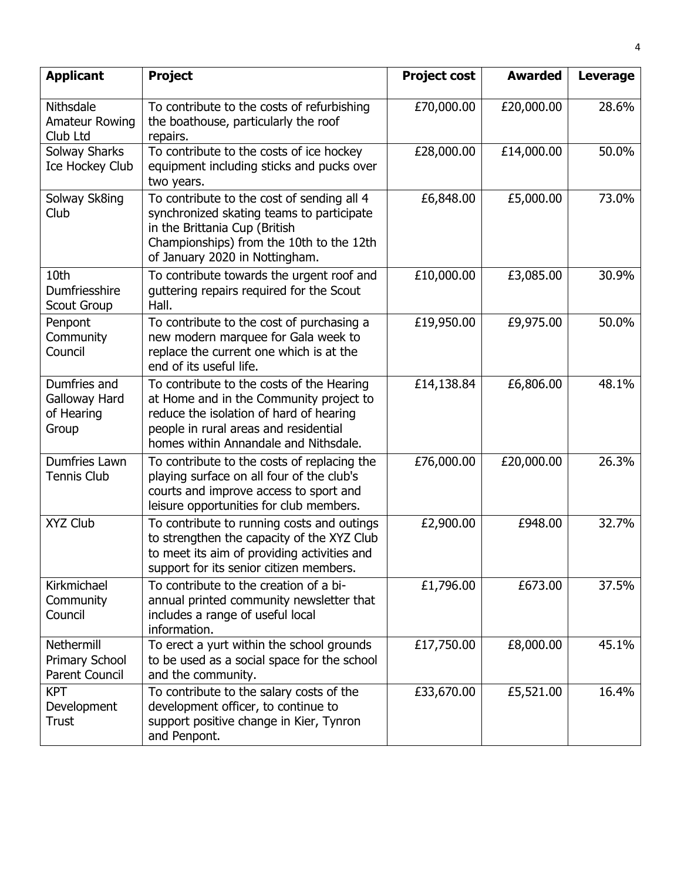| <b>Applicant</b>                                      | <b>Project</b>                                                                                                                                                                                                    | <b>Project cost</b> | <b>Awarded</b> | <b>Leverage</b> |
|-------------------------------------------------------|-------------------------------------------------------------------------------------------------------------------------------------------------------------------------------------------------------------------|---------------------|----------------|-----------------|
| <b>Nithsdale</b><br><b>Amateur Rowing</b><br>Club Ltd | To contribute to the costs of refurbishing<br>the boathouse, particularly the roof<br>repairs.                                                                                                                    | £70,000.00          | £20,000.00     | 28.6%           |
| Solway Sharks<br>Ice Hockey Club                      | To contribute to the costs of ice hockey<br>equipment including sticks and pucks over<br>two years.                                                                                                               | £28,000.00          | £14,000.00     | 50.0%           |
| Solway Sk8ing<br>Club                                 | To contribute to the cost of sending all 4<br>synchronized skating teams to participate<br>in the Brittania Cup (British<br>Championships) from the 10th to the 12th<br>of January 2020 in Nottingham.            | £6,848.00           | £5,000.00      | 73.0%           |
| 10th<br>Dumfriesshire<br>Scout Group                  | To contribute towards the urgent roof and<br>guttering repairs required for the Scout<br>Hall.                                                                                                                    | £10,000.00          | £3,085.00      | 30.9%           |
| Penpont<br>Community<br>Council                       | To contribute to the cost of purchasing a<br>new modern marquee for Gala week to<br>replace the current one which is at the<br>end of its useful life.                                                            | £19,950.00          | £9,975.00      | 50.0%           |
| Dumfries and<br>Galloway Hard<br>of Hearing<br>Group  | To contribute to the costs of the Hearing<br>at Home and in the Community project to<br>reduce the isolation of hard of hearing<br>people in rural areas and residential<br>homes within Annandale and Nithsdale. | £14,138.84          | £6,806.00      | 48.1%           |
| Dumfries Lawn<br><b>Tennis Club</b>                   | To contribute to the costs of replacing the<br>playing surface on all four of the club's<br>courts and improve access to sport and<br>leisure opportunities for club members.                                     | £76,000.00          | £20,000.00     | 26.3%           |
| XYZ Club                                              | To contribute to running costs and outings<br>to strengthen the capacity of the XYZ Club<br>to meet its aim of providing activities and<br>support for its senior citizen members.                                | £2,900.00           | £948.00        | 32.7%           |
| Kirkmichael<br>Community<br>Council                   | To contribute to the creation of a bi-<br>annual printed community newsletter that<br>includes a range of useful local<br>information.                                                                            | £1,796.00           | £673.00        | 37.5%           |
| Nethermill<br>Primary School<br>Parent Council        | To erect a yurt within the school grounds<br>to be used as a social space for the school<br>and the community.                                                                                                    | £17,750.00          | £8,000.00      | 45.1%           |
| <b>KPT</b><br>Development<br><b>Trust</b>             | To contribute to the salary costs of the<br>development officer, to continue to<br>support positive change in Kier, Tynron<br>and Penpont.                                                                        | £33,670.00          | £5,521.00      | 16.4%           |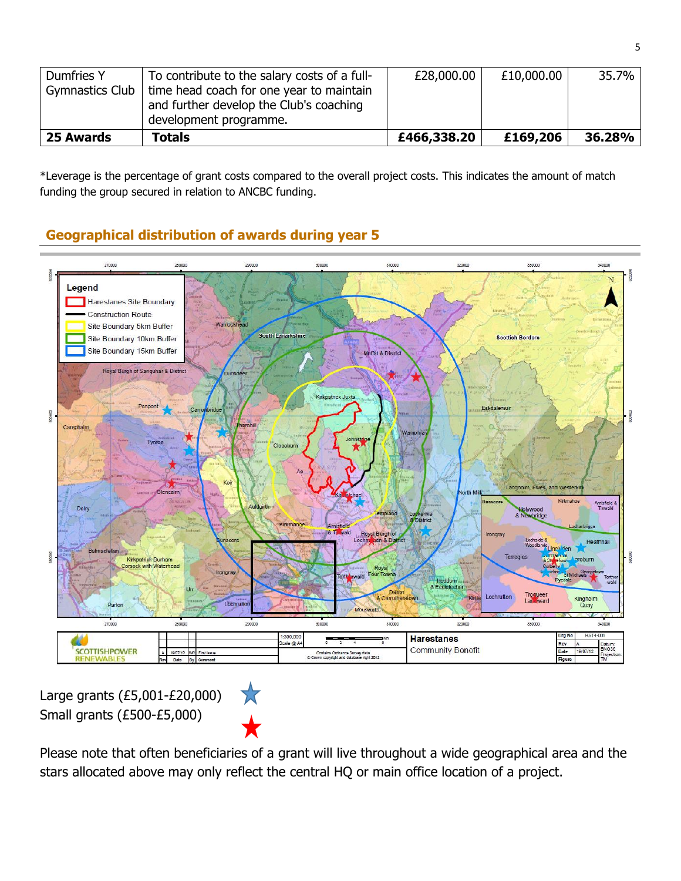| Dumfries Y<br>Gymnastics Club | To contribute to the salary costs of a full-<br>time head coach for one year to maintain<br>and further develop the Club's coaching<br>development programme. | £28,000.00  | £10,000.00 | 35.7% l |
|-------------------------------|---------------------------------------------------------------------------------------------------------------------------------------------------------------|-------------|------------|---------|
| 25 Awards                     | <b>Totals</b>                                                                                                                                                 | £466,338.20 | £169,206   | 36.28%  |

\*Leverage is the percentage of grant costs compared to the overall project costs. This indicates the amount of match funding the group secured in relation to ANCBC funding.

# **Geographical distribution of awards during year 5**



Large grants (£5,001-£20,000) Small grants (£500-£5,000)



Please note that often beneficiaries of a grant will live throughout a wide geographical area and the stars allocated above may only reflect the central HQ or main office location of a project.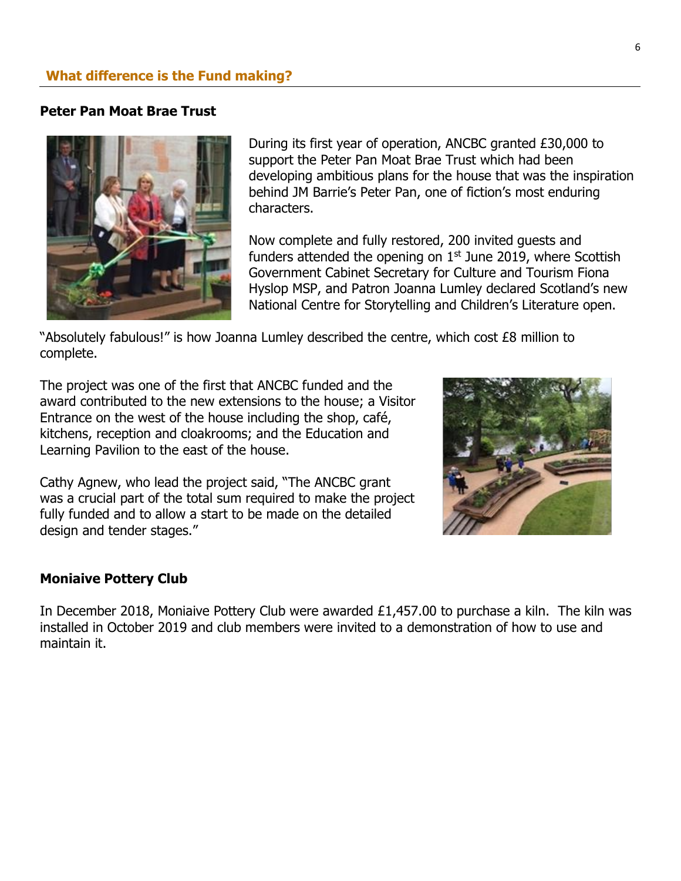#### **Peter Pan Moat Brae Trust**



During its first year of operation, ANCBC granted £30,000 to support the Peter Pan Moat Brae Trust which had been developing ambitious plans for the house that was the inspiration behind JM Barrie's Peter Pan, one of fiction's most enduring characters.

Now complete and fully restored, 200 invited guests and funders attended the opening on  $1<sup>st</sup>$  June 2019, where Scottish Government Cabinet Secretary for Culture and Tourism Fiona Hyslop MSP, and Patron Joanna Lumley declared Scotland's new National Centre for Storytelling and Children's Literature open.

"Absolutely fabulous!" is how Joanna Lumley described the centre, which cost £8 million to complete.

The project was one of the first that ANCBC funded and the award contributed to the new extensions to the house; a Visitor Entrance on the west of the house including the shop, café, kitchens, reception and cloakrooms; and the Education and Learning Pavilion to the east of the house.



Cathy Agnew, who lead the project said, "The ANCBC grant was a crucial part of the total sum required to make the project fully funded and to allow a start to be made on the detailed design and tender stages."

#### **Moniaive Pottery Club**

In December 2018, Moniaive Pottery Club were awarded £1,457.00 to purchase a kiln. The kiln was installed in October 2019 and club members were invited to a demonstration of how to use and maintain it.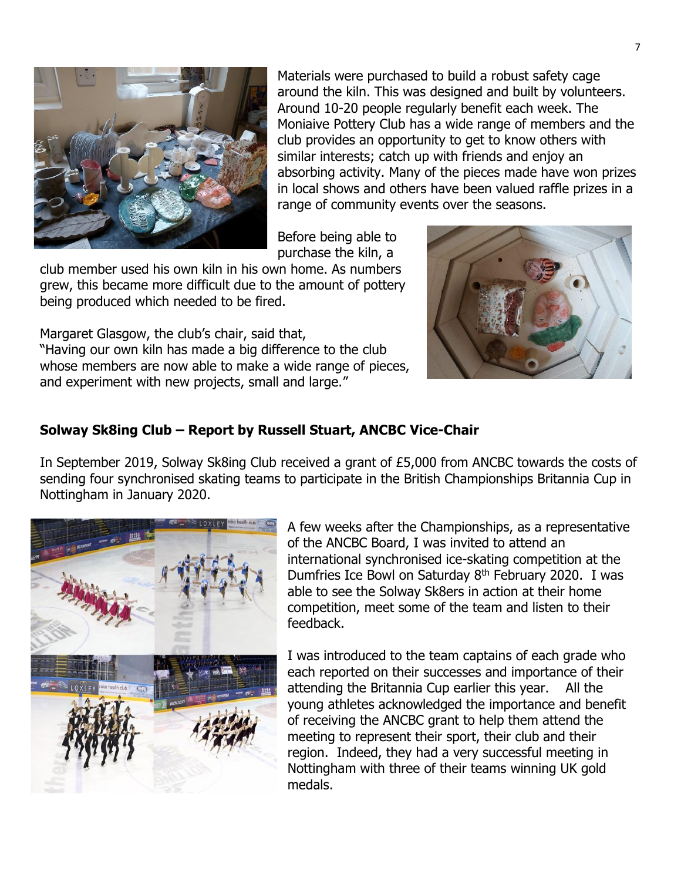Materials were purchased to build a robust safety cage around the kiln. This was designed and built by volunteers. Around 10-20 people regularly benefit each week. The Moniaive Pottery Club has a wide range of members and the club provides an opportunity to get to know others with similar interests; catch up with friends and enjoy an absorbing activity. Many of the pieces made have won prizes in local shows and others have been valued raffle prizes in a range of community events over the seasons.

Before being able to purchase the kiln, a

club member used his own kiln in his own home. As numbers grew, this became more difficult due to the amount of pottery being produced which needed to be fired.

Margaret Glasgow, the club's chair, said that, "Having our own kiln has made a big difference to the club whose members are now able to make a wide range of pieces, and experiment with new projects, small and large."



## **Solway Sk8ing Club – Report by Russell Stuart, ANCBC Vice-Chair**

In September 2019, Solway Sk8ing Club received a grant of £5,000 from ANCBC towards the costs of sending four synchronised skating teams to participate in the British Championships Britannia Cup in Nottingham in January 2020.



A few weeks after the Championships, as a representative of the ANCBC Board, I was invited to attend an international synchronised ice-skating competition at the Dumfries Ice Bowl on Saturday  $8<sup>th</sup>$  February 2020. I was able to see the Solway Sk8ers in action at their home competition, meet some of the team and listen to their feedback.

I was introduced to the team captains of each grade who each reported on their successes and importance of their attending the Britannia Cup earlier this year. All the young athletes acknowledged the importance and benefit of receiving the ANCBC grant to help them attend the meeting to represent their sport, their club and their region. Indeed, they had a very successful meeting in Nottingham with three of their teams winning UK gold medals.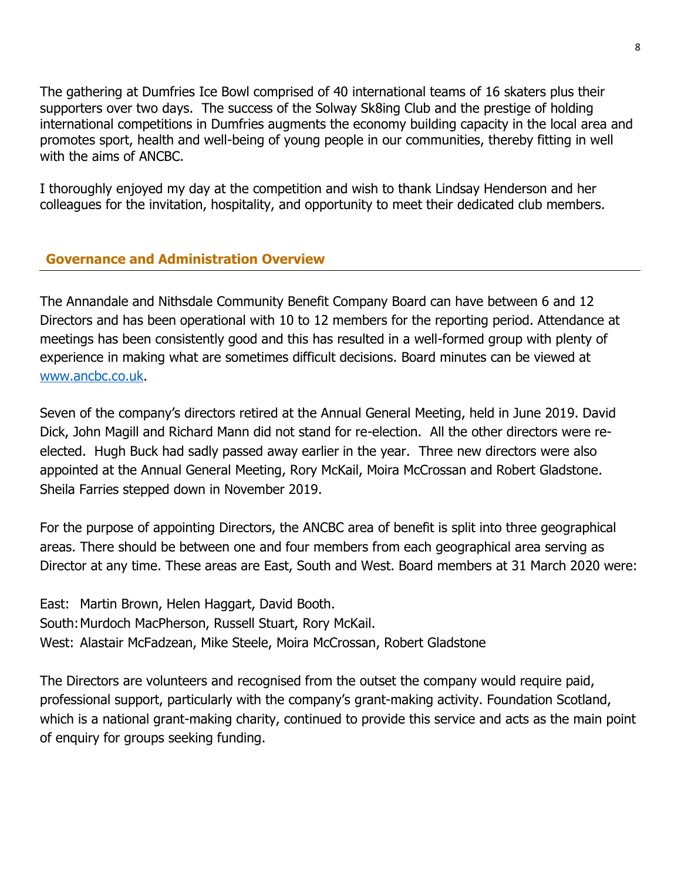The gathering at Dumfries Ice Bowl comprised of 40 international teams of 16 skaters plus their supporters over two days. The success of the Solway Sk8ing Club and the prestige of holding international competitions in Dumfries augments the economy building capacity in the local area and promotes sport, health and well-being of young people in our communities, thereby fitting in well with the aims of ANCBC.

I thoroughly enjoyed my day at the competition and wish to thank Lindsay Henderson and her colleagues for the invitation, hospitality, and opportunity to meet their dedicated club members.

## **Governance and Administration Overview**

The Annandale and Nithsdale Community Benefit Company Board can have between 6 and 12 Directors and has been operational with 10 to 12 members for the reporting period. Attendance at meetings has been consistently good and this has resulted in a well-formed group with plenty of experience in making what are sometimes difficult decisions. Board minutes can be viewed at [www.ancbc.co.uk.](http://www.ancbc.co.uk/)

Seven of the company's directors retired at the Annual General Meeting, held in June 2019. David Dick, John Magill and Richard Mann did not stand for re-election. All the other directors were reelected. Hugh Buck had sadly passed away earlier in the year. Three new directors were also appointed at the Annual General Meeting, Rory McKail, Moira McCrossan and Robert Gladstone. Sheila Farries stepped down in November 2019.

For the purpose of appointing Directors, the ANCBC area of benefit is split into three geographical areas. There should be between one and four members from each geographical area serving as Director at any time. These areas are East, South and West. Board members at 31 March 2020 were:

East: Martin Brown, Helen Haggart, David Booth. South: Murdoch MacPherson, Russell Stuart, Rory McKail. West: Alastair McFadzean, Mike Steele, Moira McCrossan, Robert Gladstone

The Directors are volunteers and recognised from the outset the company would require paid, professional support, particularly with the company's grant-making activity. Foundation Scotland, which is a national grant-making charity, continued to provide this service and acts as the main point of enquiry for groups seeking funding.